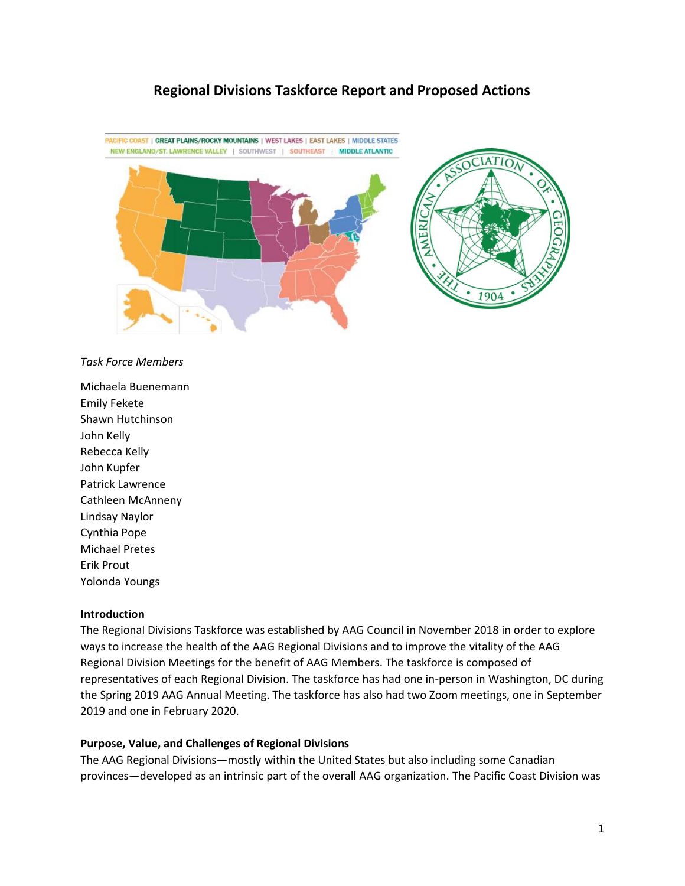# **Regional Divisions Taskforce Report and Proposed Actions**



*Task Force Members*

Michaela Buenemann Emily Fekete Shawn Hutchinson John Kelly Rebecca Kelly John Kupfer Patrick Lawrence Cathleen McAnneny Lindsay Naylor Cynthia Pope Michael Pretes Erik Prout Yolonda Youngs

#### **Introduction**

The Regional Divisions Taskforce was established by AAG Council in November 2018 in order to explore ways to increase the health of the AAG Regional Divisions and to improve the vitality of the AAG Regional Division Meetings for the benefit of AAG Members. The taskforce is composed of representatives of each Regional Division. The taskforce has had one in-person in Washington, DC during the Spring 2019 AAG Annual Meeting. The taskforce has also had two Zoom meetings, one in September 2019 and one in February 2020.

#### **Purpose, Value, and Challenges of Regional Divisions**

The AAG Regional Divisions—mostly within the United States but also including some Canadian provinces—developed as an intrinsic part of the overall AAG organization. The Pacific Coast Division was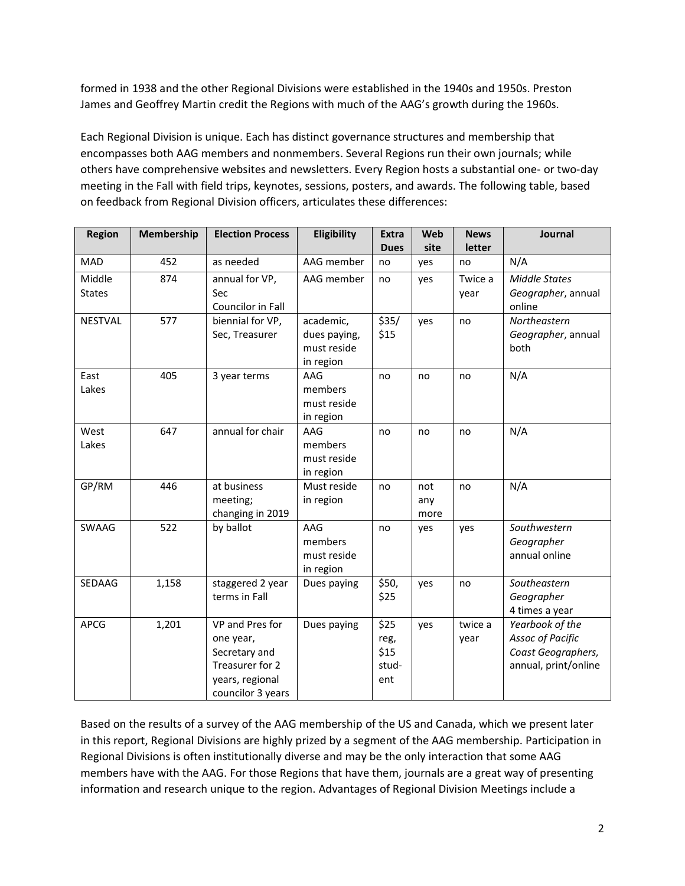formed in 1938 and the other Regional Divisions were established in the 1940s and 1950s. Preston James and Geoffrey Martin credit the Regions with much of the AAG's growth during the 1960s.

Each Regional Division is unique. Each has distinct governance structures and membership that encompasses both AAG members and nonmembers. Several Regions run their own journals; while others have comprehensive websites and newsletters. Every Region hosts a substantial one- or two-day meeting in the Fall with field trips, keynotes, sessions, posters, and awards. The following table, based on feedback from Regional Division officers, articulates these differences:

| <b>Region</b>  | Membership | <b>Election Process</b> | Eligibility  | <b>Extra</b><br><b>Dues</b> | Web<br>site | <b>News</b><br>letter | Journal                 |
|----------------|------------|-------------------------|--------------|-----------------------------|-------------|-----------------------|-------------------------|
|                | 452        |                         | AAG member   |                             |             |                       |                         |
| MAD            |            | as needed               |              | no                          | yes         | no                    | N/A                     |
| Middle         | 874        | annual for VP,          | AAG member   | no                          | yes         | Twice a               | <b>Middle States</b>    |
| <b>States</b>  |            | Sec                     |              |                             |             | year                  | Geographer, annual      |
|                |            | Councilor in Fall       |              |                             |             |                       | online                  |
| <b>NESTVAL</b> | 577        | biennial for VP,        | academic,    | \$35/                       | yes         | no                    | Northeastern            |
|                |            | Sec, Treasurer          | dues paying, | \$15                        |             |                       | Geographer, annual      |
|                |            |                         | must reside  |                             |             |                       | both                    |
|                |            |                         | in region    |                             |             |                       |                         |
| East           | 405        | 3 year terms            | AAG          | no                          | no          | no                    | N/A                     |
| Lakes          |            |                         | members      |                             |             |                       |                         |
|                |            |                         | must reside  |                             |             |                       |                         |
|                |            |                         | in region    |                             |             |                       |                         |
| West           | 647        | annual for chair        | AAG          | no                          | no          | no                    | N/A                     |
| Lakes          |            |                         | members      |                             |             |                       |                         |
|                |            |                         | must reside  |                             |             |                       |                         |
|                |            |                         | in region    |                             |             |                       |                         |
| GP/RM          | 446        | at business             | Must reside  | no                          | not         | no                    | N/A                     |
|                |            | meeting;                | in region    |                             | any         |                       |                         |
|                |            | changing in 2019        |              |                             | more        |                       |                         |
| <b>SWAAG</b>   | 522        | by ballot               | AAG          | no                          | yes         | yes                   | Southwestern            |
|                |            |                         | members      |                             |             |                       | Geographer              |
|                |            |                         | must reside  |                             |             |                       | annual online           |
|                |            |                         | in region    |                             |             |                       |                         |
| SEDAAG         | 1,158      | staggered 2 year        | Dues paying  | \$50,                       | yes         | no                    | Southeastern            |
|                |            | terms in Fall           |              | \$25                        |             |                       | Geographer              |
|                |            |                         |              |                             |             |                       | 4 times a year          |
| <b>APCG</b>    | 1,201      | VP and Pres for         | Dues paying  | \$25                        | yes         | twice a               | Yearbook of the         |
|                |            | one year,               |              | reg,                        |             | year                  | <b>Assoc of Pacific</b> |
|                |            | Secretary and           |              | \$15                        |             |                       | Coast Geographers,      |
|                |            | Treasurer for 2         |              | stud-                       |             |                       | annual, print/online    |
|                |            | years, regional         |              | ent                         |             |                       |                         |
|                |            | councilor 3 years       |              |                             |             |                       |                         |

Based on the results of a survey of the AAG membership of the US and Canada, which we present later in this report, Regional Divisions are highly prized by a segment of the AAG membership. Participation in Regional Divisions is often institutionally diverse and may be the only interaction that some AAG members have with the AAG. For those Regions that have them, journals are a great way of presenting information and research unique to the region. Advantages of Regional Division Meetings include a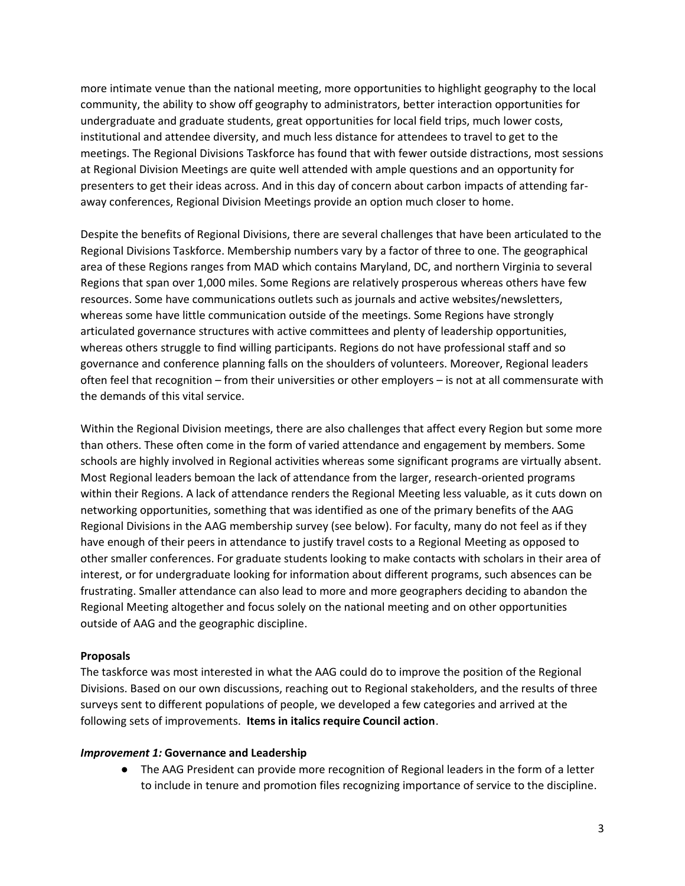more intimate venue than the national meeting, more opportunities to highlight geography to the local community, the ability to show off geography to administrators, better interaction opportunities for undergraduate and graduate students, great opportunities for local field trips, much lower costs, institutional and attendee diversity, and much less distance for attendees to travel to get to the meetings. The Regional Divisions Taskforce has found that with fewer outside distractions, most sessions at Regional Division Meetings are quite well attended with ample questions and an opportunity for presenters to get their ideas across. And in this day of concern about carbon impacts of attending faraway conferences, Regional Division Meetings provide an option much closer to home.

Despite the benefits of Regional Divisions, there are several challenges that have been articulated to the Regional Divisions Taskforce. Membership numbers vary by a factor of three to one. The geographical area of these Regions ranges from MAD which contains Maryland, DC, and northern Virginia to several Regions that span over 1,000 miles. Some Regions are relatively prosperous whereas others have few resources. Some have communications outlets such as journals and active websites/newsletters, whereas some have little communication outside of the meetings. Some Regions have strongly articulated governance structures with active committees and plenty of leadership opportunities, whereas others struggle to find willing participants. Regions do not have professional staff and so governance and conference planning falls on the shoulders of volunteers. Moreover, Regional leaders often feel that recognition – from their universities or other employers – is not at all commensurate with the demands of this vital service.

Within the Regional Division meetings, there are also challenges that affect every Region but some more than others. These often come in the form of varied attendance and engagement by members. Some schools are highly involved in Regional activities whereas some significant programs are virtually absent. Most Regional leaders bemoan the lack of attendance from the larger, research-oriented programs within their Regions. A lack of attendance renders the Regional Meeting less valuable, as it cuts down on networking opportunities, something that was identified as one of the primary benefits of the AAG Regional Divisions in the AAG membership survey (see below). For faculty, many do not feel as if they have enough of their peers in attendance to justify travel costs to a Regional Meeting as opposed to other smaller conferences. For graduate students looking to make contacts with scholars in their area of interest, or for undergraduate looking for information about different programs, such absences can be frustrating. Smaller attendance can also lead to more and more geographers deciding to abandon the Regional Meeting altogether and focus solely on the national meeting and on other opportunities outside of AAG and the geographic discipline.

### **Proposals**

The taskforce was most interested in what the AAG could do to improve the position of the Regional Divisions. Based on our own discussions, reaching out to Regional stakeholders, and the results of three surveys sent to different populations of people, we developed a few categories and arrived at the following sets of improvements. **Items in italics require Council action**.

#### *Improvement 1:* **Governance and Leadership**

● The AAG President can provide more recognition of Regional leaders in the form of a letter to include in tenure and promotion files recognizing importance of service to the discipline.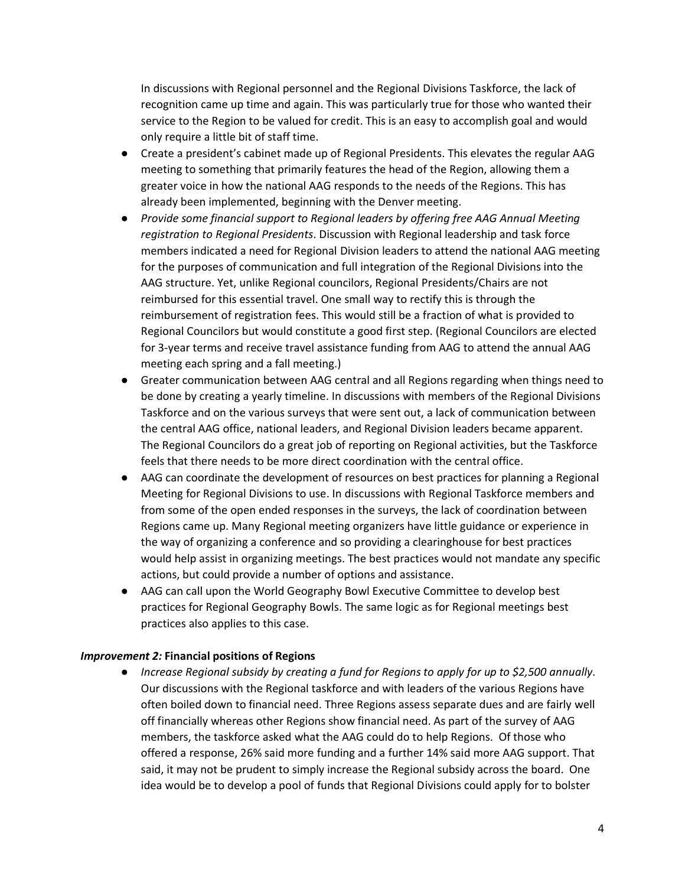In discussions with Regional personnel and the Regional Divisions Taskforce, the lack of recognition came up time and again. This was particularly true for those who wanted their service to the Region to be valued for credit. This is an easy to accomplish goal and would only require a little bit of staff time.

- Create a president's cabinet made up of Regional Presidents. This elevates the regular AAG meeting to something that primarily features the head of the Region, allowing them a greater voice in how the national AAG responds to the needs of the Regions. This has already been implemented, beginning with the Denver meeting.
- *Provide some financial support to Regional leaders by offering free AAG Annual Meeting registration to Regional Presidents*. Discussion with Regional leadership and task force members indicated a need for Regional Division leaders to attend the national AAG meeting for the purposes of communication and full integration of the Regional Divisions into the AAG structure. Yet, unlike Regional councilors, Regional Presidents/Chairs are not reimbursed for this essential travel. One small way to rectify this is through the reimbursement of registration fees. This would still be a fraction of what is provided to Regional Councilors but would constitute a good first step. (Regional Councilors are elected for 3-year terms and receive travel assistance funding from AAG to attend the annual AAG meeting each spring and a fall meeting.)
- Greater communication between AAG central and all Regions regarding when things need to be done by creating a yearly timeline. In discussions with members of the Regional Divisions Taskforce and on the various surveys that were sent out, a lack of communication between the central AAG office, national leaders, and Regional Division leaders became apparent. The Regional Councilors do a great job of reporting on Regional activities, but the Taskforce feels that there needs to be more direct coordination with the central office.
- AAG can coordinate the development of resources on best practices for planning a Regional Meeting for Regional Divisions to use. In discussions with Regional Taskforce members and from some of the open ended responses in the surveys, the lack of coordination between Regions came up. Many Regional meeting organizers have little guidance or experience in the way of organizing a conference and so providing a clearinghouse for best practices would help assist in organizing meetings. The best practices would not mandate any specific actions, but could provide a number of options and assistance.
- AAG can call upon the World Geography Bowl Executive Committee to develop best practices for Regional Geography Bowls. The same logic as for Regional meetings best practices also applies to this case.

### *Improvement 2:* **Financial positions of Regions**

● *Increase Regional subsidy by creating a fund for Regions to apply for up to \$2,500 annually.* Our discussions with the Regional taskforce and with leaders of the various Regions have often boiled down to financial need. Three Regions assess separate dues and are fairly well off financially whereas other Regions show financial need. As part of the survey of AAG members, the taskforce asked what the AAG could do to help Regions. Of those who offered a response, 26% said more funding and a further 14% said more AAG support. That said, it may not be prudent to simply increase the Regional subsidy across the board. One idea would be to develop a pool of funds that Regional Divisions could apply for to bolster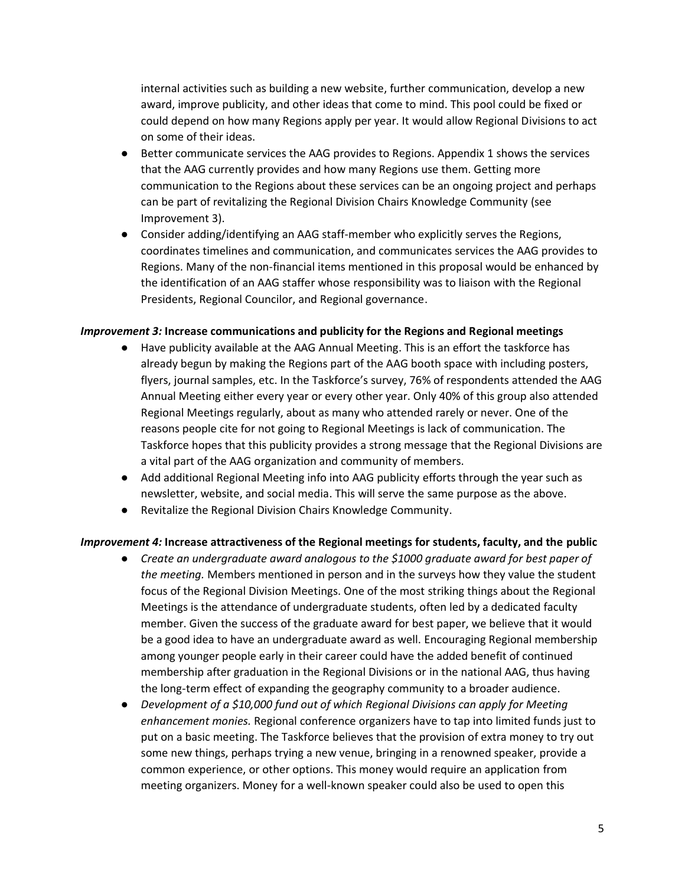internal activities such as building a new website, further communication, develop a new award, improve publicity, and other ideas that come to mind. This pool could be fixed or could depend on how many Regions apply per year. It would allow Regional Divisions to act on some of their ideas.

- Better communicate services the AAG provides to Regions. Appendix 1 shows the services that the AAG currently provides and how many Regions use them. Getting more communication to the Regions about these services can be an ongoing project and perhaps can be part of revitalizing the Regional Division Chairs Knowledge Community (see Improvement 3).
- Consider adding/identifying an AAG staff-member who explicitly serves the Regions, coordinates timelines and communication, and communicates services the AAG provides to Regions. Many of the non-financial items mentioned in this proposal would be enhanced by the identification of an AAG staffer whose responsibility was to liaison with the Regional Presidents, Regional Councilor, and Regional governance.

#### *Improvement 3:* **Increase communications and publicity for the Regions and Regional meetings**

- Have publicity available at the AAG Annual Meeting. This is an effort the taskforce has already begun by making the Regions part of the AAG booth space with including posters, flyers, journal samples, etc. In the Taskforce's survey, 76% of respondents attended the AAG Annual Meeting either every year or every other year. Only 40% of this group also attended Regional Meetings regularly, about as many who attended rarely or never. One of the reasons people cite for not going to Regional Meetings is lack of communication. The Taskforce hopes that this publicity provides a strong message that the Regional Divisions are a vital part of the AAG organization and community of members.
- Add additional Regional Meeting info into AAG publicity efforts through the year such as newsletter, website, and social media. This will serve the same purpose as the above.
- Revitalize the Regional Division Chairs Knowledge Community.

### *Improvement 4:* **Increase attractiveness of the Regional meetings for students, faculty, and the public**

- *Create an undergraduate award analogous to the \$1000 graduate award for best paper of the meeting.* Members mentioned in person and in the surveys how they value the student focus of the Regional Division Meetings. One of the most striking things about the Regional Meetings is the attendance of undergraduate students, often led by a dedicated faculty member. Given the success of the graduate award for best paper, we believe that it would be a good idea to have an undergraduate award as well. Encouraging Regional membership among younger people early in their career could have the added benefit of continued membership after graduation in the Regional Divisions or in the national AAG, thus having the long-term effect of expanding the geography community to a broader audience.
- *Development of a \$10,000 fund out of which Regional Divisions can apply for Meeting enhancement monies.* Regional conference organizers have to tap into limited funds just to put on a basic meeting. The Taskforce believes that the provision of extra money to try out some new things, perhaps trying a new venue, bringing in a renowned speaker, provide a common experience, or other options. This money would require an application from meeting organizers. Money for a well-known speaker could also be used to open this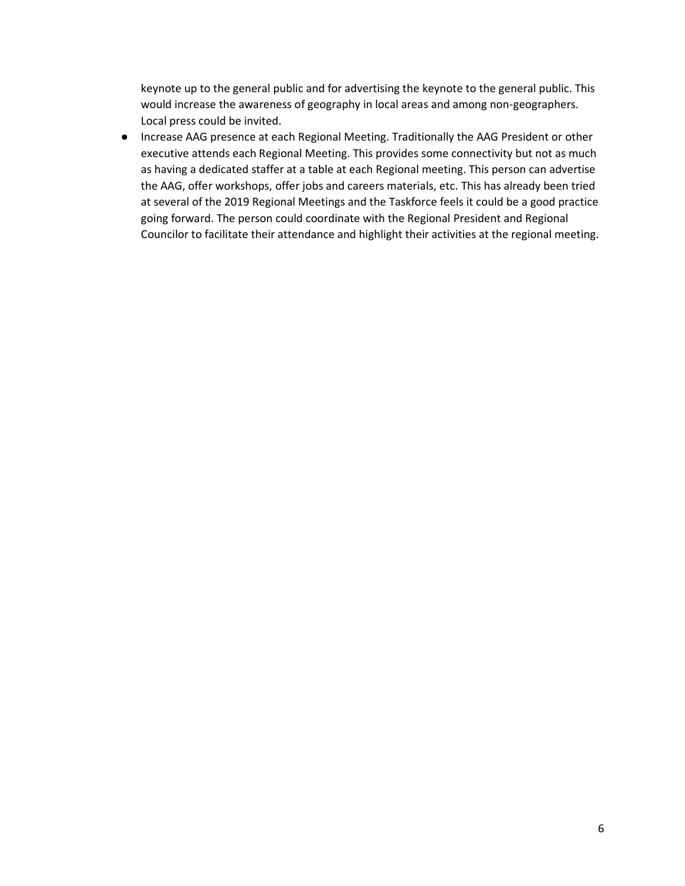keynote up to the general public and for advertising the keynote to the general public. This would increase the awareness of geography in local areas and among non-geographers. Local press could be invited.

● Increase AAG presence at each Regional Meeting. Traditionally the AAG President or other executive attends each Regional Meeting. This provides some connectivity but not as much as having a dedicated staffer at a table at each Regional meeting. This person can advertise the AAG, offer workshops, offer jobs and careers materials, etc. This has already been tried at several of the 2019 Regional Meetings and the Taskforce feels it could be a good practice going forward. The person could coordinate with the Regional President and Regional Councilor to facilitate their attendance and highlight their activities at the regional meeting.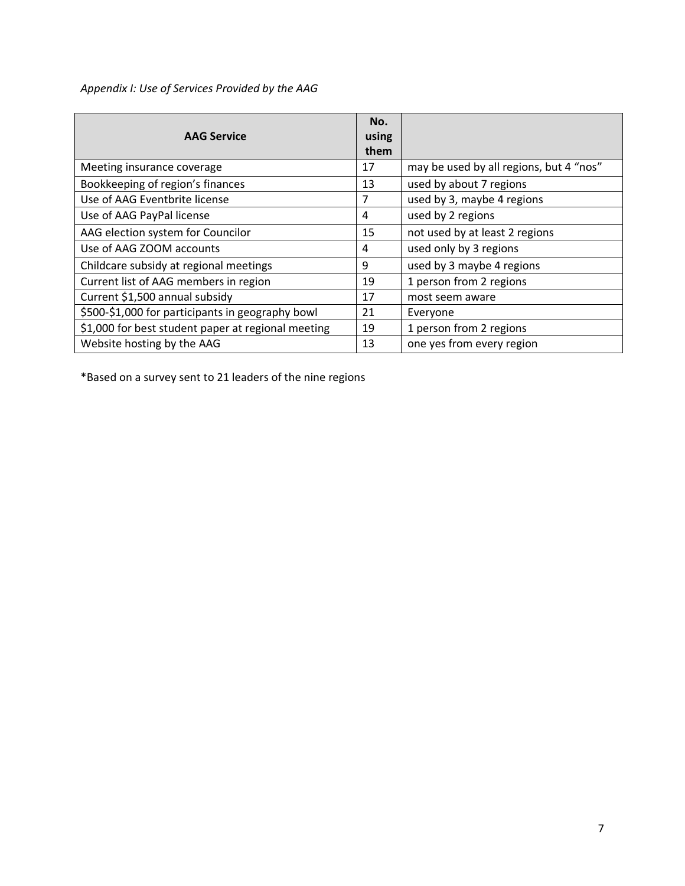*Appendix I: Use of Services Provided by the AAG*

| <b>AAG Service</b>                                 | No.<br>using<br>them |                                         |
|----------------------------------------------------|----------------------|-----------------------------------------|
| Meeting insurance coverage                         | 17                   | may be used by all regions, but 4 "nos" |
| Bookkeeping of region's finances                   | 13                   | used by about 7 regions                 |
| Use of AAG Eventbrite license                      | 7                    | used by 3, maybe 4 regions              |
| Use of AAG PayPal license                          | 4                    | used by 2 regions                       |
| AAG election system for Councilor                  | 15                   | not used by at least 2 regions          |
| Use of AAG ZOOM accounts                           | 4                    | used only by 3 regions                  |
| Childcare subsidy at regional meetings             | 9                    | used by 3 maybe 4 regions               |
| Current list of AAG members in region              | 19                   | 1 person from 2 regions                 |
| Current \$1,500 annual subsidy                     | 17                   | most seem aware                         |
| \$500-\$1,000 for participants in geography bowl   | 21                   | Everyone                                |
| \$1,000 for best student paper at regional meeting | 19                   | 1 person from 2 regions                 |
| Website hosting by the AAG                         | 13                   | one yes from every region               |

\*Based on a survey sent to 21 leaders of the nine regions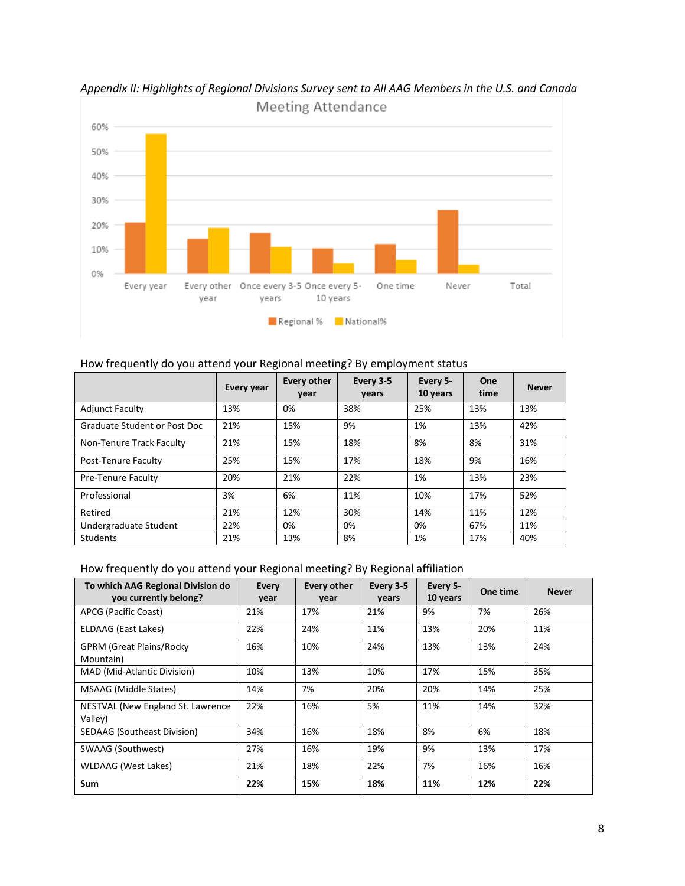

*Appendix II: Highlights of Regional Divisions Survey sent to All AAG Members in the U.S. and Canada*

### How frequently do you attend your Regional meeting? By employment status

|                              | Every year | Every other<br>year | Every 3-5<br>vears | Every 5-<br>10 years | One<br>time | <b>Never</b> |
|------------------------------|------------|---------------------|--------------------|----------------------|-------------|--------------|
| <b>Adjunct Faculty</b>       | 13%        | 0%                  | 38%                | 25%                  | 13%         | 13%          |
| Graduate Student or Post Doc | 21%        | 15%                 | 9%                 | 1%                   | 13%         | 42%          |
| Non-Tenure Track Faculty     | 21%        | 15%                 | 18%                | 8%                   | 8%          | 31%          |
| Post-Tenure Faculty          | 25%        | 15%                 | 17%                | 18%                  | 9%          | 16%          |
| Pre-Tenure Faculty           | 20%        | 21%                 | 22%                | 1%                   | 13%         | 23%          |
| Professional                 | 3%         | 6%                  | 11%                | 10%                  | 17%         | 52%          |
| Retired                      | 21%        | 12%                 | 30%                | 14%                  | 11%         | 12%          |
| Undergraduate Student        | 22%        | 0%                  | 0%                 | 0%                   | 67%         | 11%          |
| <b>Students</b>              | 21%        | 13%                 | 8%                 | 1%                   | 17%         | 40%          |

How frequently do you attend your Regional meeting? By Regional affiliation

| To which AAG Regional Division do<br>you currently belong? | Every<br>year | <b>Every other</b><br>year | Every 3-5<br>vears | Every 5-<br>10 years | One time | <b>Never</b> |
|------------------------------------------------------------|---------------|----------------------------|--------------------|----------------------|----------|--------------|
| APCG (Pacific Coast)                                       | 21%           | 17%                        | 21%                | 9%                   | 7%       | 26%          |
| ELDAAG (East Lakes)                                        | 22%           | 24%                        | 11%                | 13%                  | 20%      | 11%          |
| <b>GPRM (Great Plains/Rocky</b><br>Mountain)               | 16%           | 10%                        | 24%                | 13%                  | 13%      | 24%          |
| MAD (Mid-Atlantic Division)                                | 10%           | 13%                        | 10%                | 17%                  | 15%      | 35%          |
| MSAAG (Middle States)                                      | 14%           | 7%                         | 20%                | 20%                  | 14%      | 25%          |
| NESTVAL (New England St. Lawrence<br>Valley)               | 22%           | 16%                        | 5%                 | 11%                  | 14%      | 32%          |
| <b>SEDAAG (Southeast Division)</b>                         | 34%           | 16%                        | 18%                | 8%                   | 6%       | 18%          |
| SWAAG (Southwest)                                          | 27%           | 16%                        | 19%                | 9%                   | 13%      | 17%          |
| <b>WLDAAG</b> (West Lakes)                                 | 21%           | 18%                        | 22%                | 7%                   | 16%      | 16%          |
| <b>Sum</b>                                                 | 22%           | 15%                        | 18%                | 11%                  | 12%      | 22%          |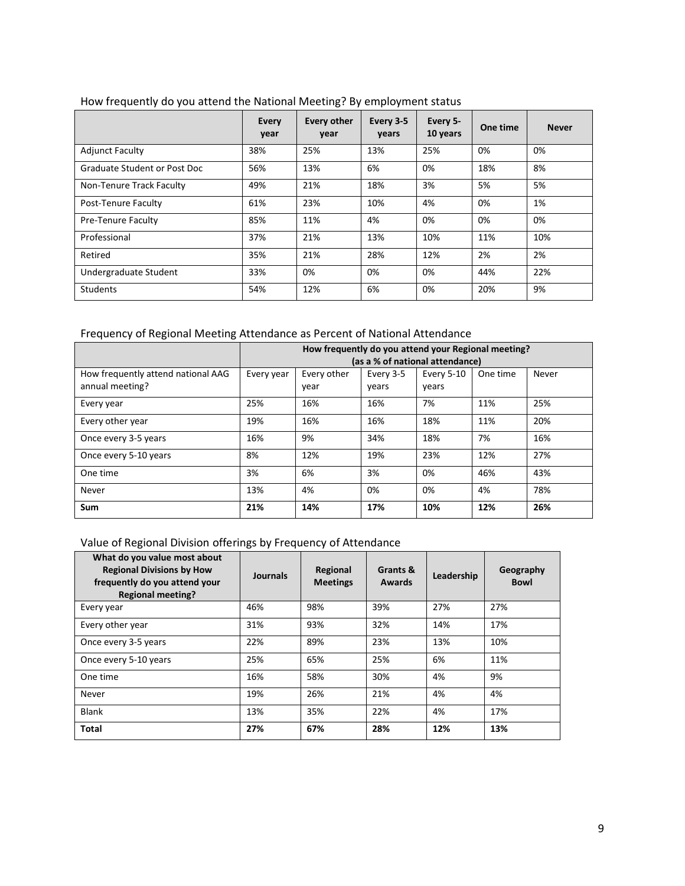|                              | Every<br>year | <b>Every other</b><br>year | Every 3-5<br>years | Every 5-<br>10 years | One time | <b>Never</b> |
|------------------------------|---------------|----------------------------|--------------------|----------------------|----------|--------------|
| <b>Adjunct Faculty</b>       | 38%           | 25%                        | 13%                | 25%                  | 0%       | 0%           |
| Graduate Student or Post Doc | 56%           | 13%                        | 6%                 | 0%                   | 18%      | 8%           |
| Non-Tenure Track Faculty     | 49%           | 21%                        | 18%                | 3%                   | 5%       | 5%           |
| Post-Tenure Faculty          | 61%           | 23%                        | 10%                | 4%                   | 0%       | 1%           |
| Pre-Tenure Faculty           | 85%           | 11%                        | 4%                 | 0%                   | 0%       | 0%           |
| Professional                 | 37%           | 21%                        | 13%                | 10%                  | 11%      | 10%          |
| Retired                      | 35%           | 21%                        | 28%                | 12%                  | 2%       | 2%           |
| Undergraduate Student        | 33%           | 0%                         | 0%                 | 0%                   | 44%      | 22%          |
| <b>Students</b>              | 54%           | 12%                        | 6%                 | 0%                   | 20%      | 9%           |

## How frequently do you attend the National Meeting? By employment status

# Frequency of Regional Meeting Attendance as Percent of National Attendance

|                                                       | How frequently do you attend your Regional meeting?<br>(as a % of national attendance) |                     |                    |                     |          |       |  |  |  |  |
|-------------------------------------------------------|----------------------------------------------------------------------------------------|---------------------|--------------------|---------------------|----------|-------|--|--|--|--|
| How frequently attend national AAG<br>annual meeting? | Every year                                                                             | Every other<br>year | Every 3-5<br>vears | Every 5-10<br>vears | One time | Never |  |  |  |  |
| Every year                                            | 25%                                                                                    | 16%                 | 16%                | 7%                  | 11%      | 25%   |  |  |  |  |
| Every other year                                      | 19%                                                                                    | 16%                 | 16%                | 18%                 | 11%      | 20%   |  |  |  |  |
| Once every 3-5 years                                  | 16%                                                                                    | 9%                  | 34%                | 18%                 | 7%       | 16%   |  |  |  |  |
| Once every 5-10 years                                 | 8%                                                                                     | 12%                 | 19%                | 23%                 | 12%      | 27%   |  |  |  |  |
| One time                                              | 3%                                                                                     | 6%                  | 3%                 | 0%                  | 46%      | 43%   |  |  |  |  |
| Never                                                 | 13%                                                                                    | 4%                  | 0%                 | 0%                  | 4%       | 78%   |  |  |  |  |
| Sum                                                   | 21%                                                                                    | 14%                 | 17%                | 10%                 | 12%      | 26%   |  |  |  |  |

## Value of Regional Division offerings by Frequency of Attendance

| What do you value most about<br><b>Regional Divisions by How</b><br>frequently do you attend your<br><b>Regional meeting?</b> | Journals | Regional<br><b>Meetings</b> | Grants &<br><b>Awards</b> | Leadership | Geography<br><b>Bowl</b> |
|-------------------------------------------------------------------------------------------------------------------------------|----------|-----------------------------|---------------------------|------------|--------------------------|
| Every year                                                                                                                    | 46%      | 98%                         | 39%                       | 27%        | 27%                      |
| Every other year                                                                                                              | 31%      | 93%                         | 32%                       | 14%        | 17%                      |
| Once every 3-5 years                                                                                                          | 22%      | 89%                         | 23%                       | 13%        | 10%                      |
| Once every 5-10 years                                                                                                         | 25%      | 65%                         | 25%                       | 6%         | 11%                      |
| One time                                                                                                                      | 16%      | 58%                         | 30%                       | 4%         | 9%                       |
| Never                                                                                                                         | 19%      | 26%                         | 21%                       | 4%         | 4%                       |
| <b>Blank</b>                                                                                                                  | 13%      | 35%                         | 22%                       | 4%         | 17%                      |
| <b>Total</b>                                                                                                                  | 27%      | 67%                         | 28%                       | 12%        | 13%                      |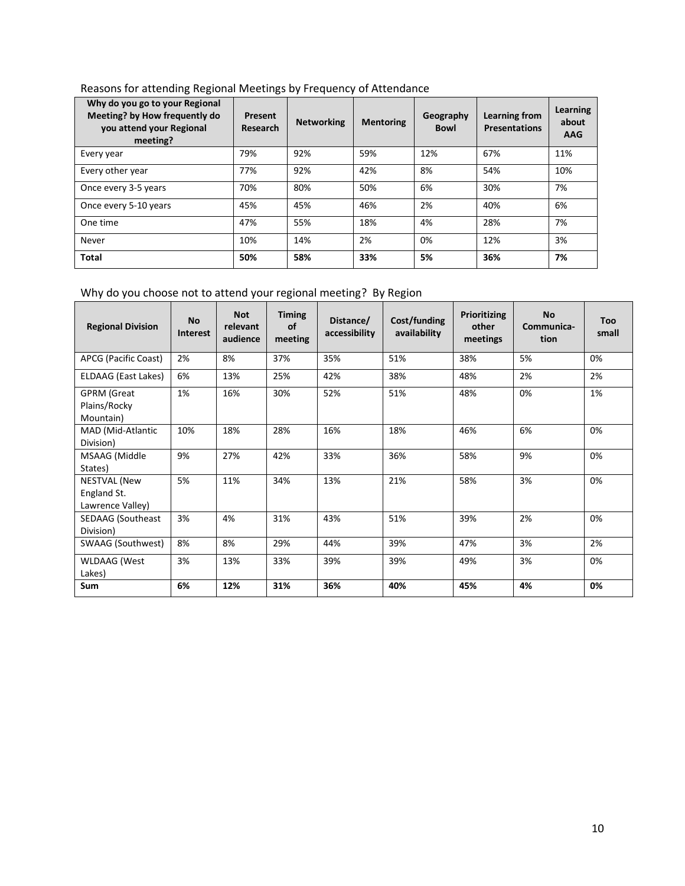| Why do you go to your Regional<br>Meeting? by How frequently do<br>you attend your Regional<br>meeting? | Present<br><b>Research</b> | <b>Networking</b> | <b>Mentoring</b> | Geography<br><b>Bowl</b> | Learning from<br><b>Presentations</b> | Learning<br>about<br><b>AAG</b> |
|---------------------------------------------------------------------------------------------------------|----------------------------|-------------------|------------------|--------------------------|---------------------------------------|---------------------------------|
| Every year                                                                                              | 79%                        | 92%               | 59%              | 12%                      | 67%                                   | 11%                             |
| Every other year                                                                                        | 77%                        | 92%               | 42%              | 8%                       | 54%                                   | 10%                             |
| Once every 3-5 years                                                                                    | 70%                        | 80%               | 50%              | 6%                       | 30%                                   | 7%                              |
| Once every 5-10 years                                                                                   | 45%                        | 45%               | 46%              | 2%                       | 40%                                   | 6%                              |
| One time                                                                                                | 47%                        | 55%               | 18%              | 4%                       | 28%                                   | 7%                              |
| Never                                                                                                   | 10%                        | 14%               | 2%               | 0%                       | 12%                                   | 3%                              |
| Total                                                                                                   | 50%                        | 58%               | 33%              | 5%                       | 36%                                   | 7%                              |

Reasons for attending Regional Meetings by Frequency of Attendance

Why do you choose not to attend your regional meeting? By Region

| <b>Regional Division</b>                        | <b>No</b><br><b>Interest</b> | <b>Not</b><br>relevant<br>audience | <b>Timing</b><br>of<br>meeting | Distance/<br>accessibility | Cost/funding<br>availability | <b>Prioritizing</b><br>other<br>meetings | <b>No</b><br>Communica-<br>tion | <b>Too</b><br>small |
|-------------------------------------------------|------------------------------|------------------------------------|--------------------------------|----------------------------|------------------------------|------------------------------------------|---------------------------------|---------------------|
| APCG (Pacific Coast)                            | 2%                           | 8%                                 | 37%                            | 35%                        | 51%                          | 38%                                      | 5%                              | 0%                  |
| ELDAAG (East Lakes)                             | 6%                           | 13%                                | 25%                            | 42%                        | 38%                          | 48%                                      | 2%                              | 2%                  |
| <b>GPRM</b> (Great<br>Plains/Rocky<br>Mountain) | 1%                           | 16%                                | 30%                            | 52%                        | 51%                          | 48%                                      | 0%                              | 1%                  |
| MAD (Mid-Atlantic<br>Division)                  | 10%                          | 18%                                | 28%                            | 16%                        | 18%                          | 46%                                      | 6%                              | 0%                  |
| MSAAG (Middle<br>States)                        | 9%                           | 27%                                | 42%                            | 33%                        | 36%                          | 58%                                      | 9%                              | 0%                  |
| NESTVAL (New<br>England St.<br>Lawrence Valley) | 5%                           | 11%                                | 34%                            | 13%                        | 21%                          | 58%                                      | 3%                              | 0%                  |
| <b>SEDAAG</b> (Southeast<br>Division)           | 3%                           | 4%                                 | 31%                            | 43%                        | 51%                          | 39%                                      | 2%                              | 0%                  |
| SWAAG (Southwest)                               | 8%                           | 8%                                 | 29%                            | 44%                        | 39%                          | 47%                                      | 3%                              | 2%                  |
| <b>WLDAAG</b> (West<br>Lakes)                   | 3%                           | 13%                                | 33%                            | 39%                        | 39%                          | 49%                                      | 3%                              | 0%                  |
| <b>Sum</b>                                      | 6%                           | 12%                                | 31%                            | 36%                        | 40%                          | 45%                                      | 4%                              | 0%                  |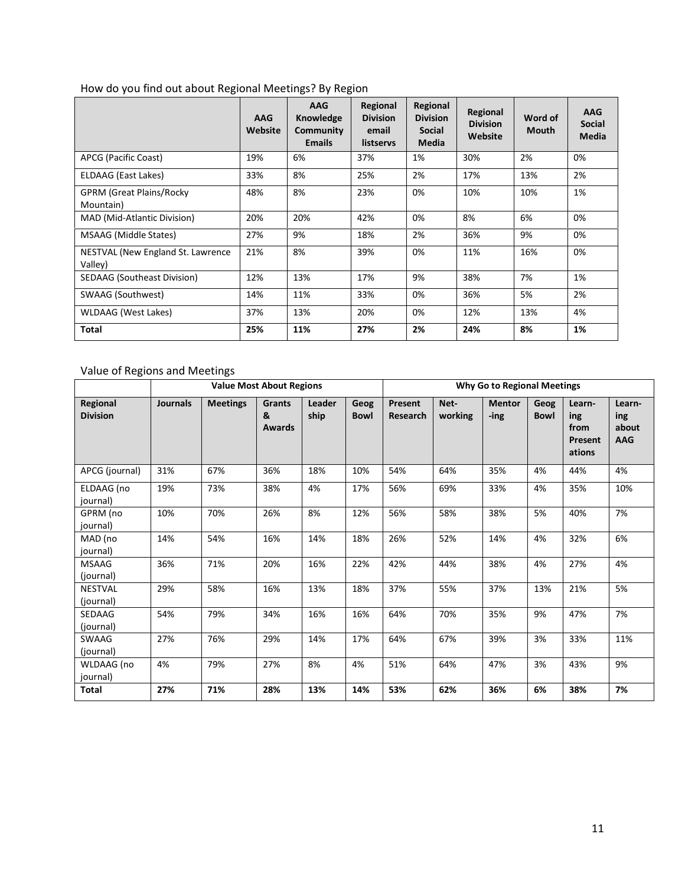|                                              | <b>AAG</b><br>Website | <b>AAG</b><br>Knowledge<br>Community<br><b>Emails</b> | Regional<br><b>Division</b><br>email<br>listservs | Regional<br><b>Division</b><br><b>Social</b><br>Media | Regional<br><b>Division</b><br>Website | Word of<br><b>Mouth</b> | <b>AAG</b><br><b>Social</b><br><b>Media</b> |
|----------------------------------------------|-----------------------|-------------------------------------------------------|---------------------------------------------------|-------------------------------------------------------|----------------------------------------|-------------------------|---------------------------------------------|
| APCG (Pacific Coast)                         | 19%                   | 6%                                                    | 37%                                               | 1%                                                    | 30%                                    | 2%                      | 0%                                          |
| ELDAAG (East Lakes)                          | 33%                   | 8%                                                    | 25%                                               | 2%                                                    | 17%                                    | 13%                     | 2%                                          |
| <b>GPRM (Great Plains/Rocky</b><br>Mountain) | 48%                   | 8%                                                    | 23%                                               | 0%                                                    | 10%                                    | 10%                     | 1%                                          |
| MAD (Mid-Atlantic Division)                  | 20%                   | 20%                                                   | 42%                                               | 0%                                                    | 8%                                     | 6%                      | 0%                                          |
| <b>MSAAG</b> (Middle States)                 | 27%                   | 9%                                                    | 18%                                               | 2%                                                    | 36%                                    | 9%                      | 0%                                          |
| NESTVAL (New England St. Lawrence<br>Valley) | 21%                   | 8%                                                    | 39%                                               | 0%                                                    | 11%                                    | 16%                     | 0%                                          |
| SEDAAG (Southeast Division)                  | 12%                   | 13%                                                   | 17%                                               | 9%                                                    | 38%                                    | 7%                      | 1%                                          |
| SWAAG (Southwest)                            | 14%                   | 11%                                                   | 33%                                               | 0%                                                    | 36%                                    | 5%                      | 2%                                          |
| <b>WLDAAG</b> (West Lakes)                   | 37%                   | 13%                                                   | 20%                                               | 0%                                                    | 12%                                    | 13%                     | 4%                                          |
| Total                                        | 25%                   | 11%                                                   | 27%                                               | 2%                                                    | 24%                                    | 8%                      | 1%                                          |

# How do you find out about Regional Meetings? By Region

Value of Regions and Meetings

|                             | <b>Value Most About Regions</b> |                 |                              |                |                     | Why Go to Regional Meetings |                 |                       |                     |                                            |                                      |
|-----------------------------|---------------------------------|-----------------|------------------------------|----------------|---------------------|-----------------------------|-----------------|-----------------------|---------------------|--------------------------------------------|--------------------------------------|
| Regional<br><b>Division</b> | <b>Journals</b>                 | <b>Meetings</b> | <b>Grants</b><br>&<br>Awards | Leader<br>ship | Geog<br><b>Bowl</b> | Present<br><b>Research</b>  | Net-<br>working | <b>Mentor</b><br>-ing | Geog<br><b>Bowl</b> | Learn-<br>ing<br>from<br>Present<br>ations | Learn-<br>ing<br>about<br><b>AAG</b> |
| APCG (journal)              | 31%                             | 67%             | 36%                          | 18%            | 10%                 | 54%                         | 64%             | 35%                   | 4%                  | 44%                                        | 4%                                   |
| ELDAAG (no<br>journal)      | 19%                             | 73%             | 38%                          | 4%             | 17%                 | 56%                         | 69%             | 33%                   | 4%                  | 35%                                        | 10%                                  |
| GPRM (no<br>journal)        | 10%                             | 70%             | 26%                          | 8%             | 12%                 | 56%                         | 58%             | 38%                   | 5%                  | 40%                                        | 7%                                   |
| MAD (no<br>journal)         | 14%                             | 54%             | 16%                          | 14%            | 18%                 | 26%                         | 52%             | 14%                   | 4%                  | 32%                                        | 6%                                   |
| <b>MSAAG</b><br>(journal)   | 36%                             | 71%             | 20%                          | 16%            | 22%                 | 42%                         | 44%             | 38%                   | 4%                  | 27%                                        | 4%                                   |
| <b>NESTVAL</b><br>(journal) | 29%                             | 58%             | 16%                          | 13%            | 18%                 | 37%                         | 55%             | 37%                   | 13%                 | 21%                                        | 5%                                   |
| <b>SEDAAG</b><br>(journal)  | 54%                             | 79%             | 34%                          | 16%            | 16%                 | 64%                         | 70%             | 35%                   | 9%                  | 47%                                        | 7%                                   |
| SWAAG<br>(journal)          | 27%                             | 76%             | 29%                          | 14%            | 17%                 | 64%                         | 67%             | 39%                   | 3%                  | 33%                                        | 11%                                  |
| WLDAAG (no<br>journal)      | 4%                              | 79%             | 27%                          | 8%             | 4%                  | 51%                         | 64%             | 47%                   | 3%                  | 43%                                        | 9%                                   |
| <b>Total</b>                | 27%                             | 71%             | 28%                          | 13%            | 14%                 | 53%                         | 62%             | 36%                   | 6%                  | 38%                                        | 7%                                   |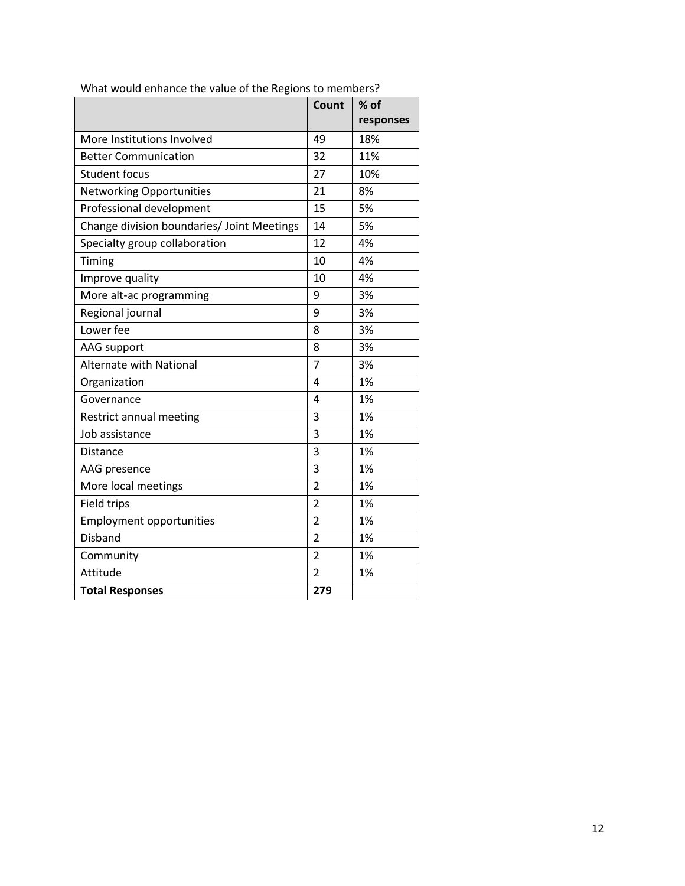|                                            | Count          | $%$ of    |
|--------------------------------------------|----------------|-----------|
|                                            |                | responses |
| More Institutions Involved                 | 49             | 18%       |
| <b>Better Communication</b>                | 32             | 11%       |
| <b>Student focus</b>                       | 27             | 10%       |
| <b>Networking Opportunities</b>            | 21             | 8%        |
| Professional development                   | 15             | 5%        |
| Change division boundaries/ Joint Meetings | 14             | 5%        |
| Specialty group collaboration              | 12             | 4%        |
| Timing                                     | 10             | 4%        |
| Improve quality                            | 10             | 4%        |
| More alt-ac programming                    | 9              | 3%        |
| Regional journal                           | 9              | 3%        |
| Lower fee                                  | 8              | 3%        |
| AAG support                                | 8              | 3%        |
| <b>Alternate with National</b>             | 7              | 3%        |
| Organization                               | 4              | 1%        |
| Governance                                 | 4              | 1%        |
| Restrict annual meeting                    | 3              | 1%        |
| Job assistance                             | 3              | 1%        |
| <b>Distance</b>                            | 3              | 1%        |
| AAG presence                               | 3              | 1%        |
| More local meetings                        | $\overline{2}$ | 1%        |
| Field trips                                | $\overline{2}$ | 1%        |
| <b>Employment opportunities</b>            | $\overline{2}$ | 1%        |
| <b>Disband</b>                             | $\overline{2}$ | 1%        |
| Community                                  | $\overline{2}$ | 1%        |
| Attitude                                   | $\overline{2}$ | 1%        |
| <b>Total Responses</b>                     | 279            |           |

What would enhance the value of the Regions to members?